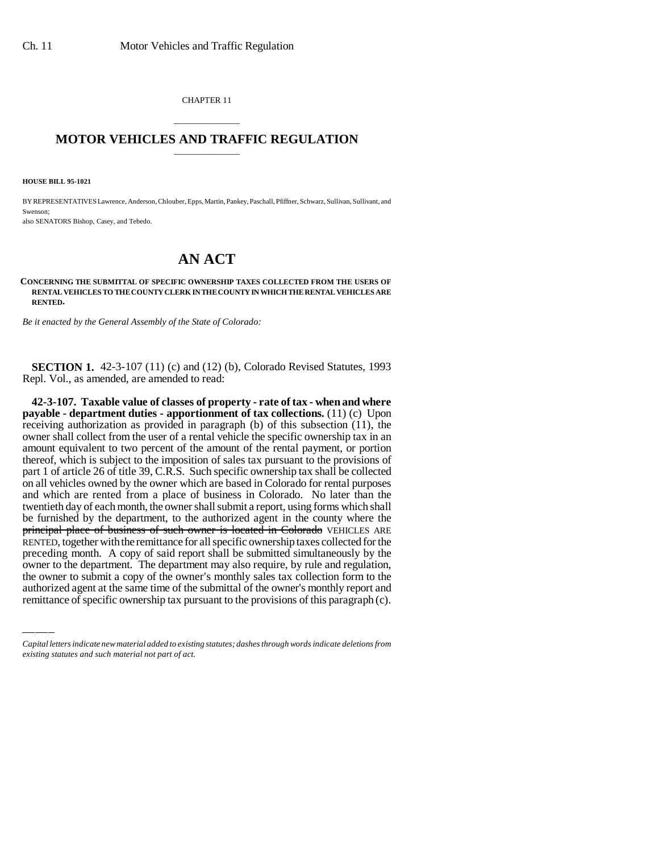CHAPTER 11

## \_\_\_\_\_\_\_\_\_\_\_\_\_\_\_ **MOTOR VEHICLES AND TRAFFIC REGULATION** \_\_\_\_\_\_\_\_\_\_\_\_\_\_\_

**HOUSE BILL 95-1021**

BY REPRESENTATIVES Lawrence, Anderson, Chlouber, Epps, Martin, Pankey, Paschall, Pfiffner, Schwarz, Sullivan, Sullivant, and Swenson;

also SENATORS Bishop, Casey, and Tebedo.

## **AN ACT**

## **CONCERNING THE SUBMITTAL OF SPECIFIC OWNERSHIP TAXES COLLECTED FROM THE USERS OF RENTAL VEHICLES TO THE COUNTY CLERK IN THE COUNTY IN WHICH THE RENTAL VEHICLES ARE RENTED.**

*Be it enacted by the General Assembly of the State of Colorado:*

**SECTION 1.** 42-3-107 (11) (c) and (12) (b), Colorado Revised Statutes, 1993 Repl. Vol., as amended, are amended to read:

preceding month. A copy of said report shall be submitted simultaneously by the **42-3-107. Taxable value of classes of property - rate of tax - when and where payable - department duties - apportionment of tax collections.** (11) (c) Upon receiving authorization as provided in paragraph (b) of this subsection (11), the owner shall collect from the user of a rental vehicle the specific ownership tax in an amount equivalent to two percent of the amount of the rental payment, or portion thereof, which is subject to the imposition of sales tax pursuant to the provisions of part 1 of article 26 of title 39, C.R.S. Such specific ownership tax shall be collected on all vehicles owned by the owner which are based in Colorado for rental purposes and which are rented from a place of business in Colorado. No later than the twentieth day of each month, the owner shall submit a report, using forms which shall be furnished by the department, to the authorized agent in the county where the principal place of business of such owner is located in Colorado VEHICLES ARE RENTED, together with the remittance for all specific ownership taxes collected for the owner to the department. The department may also require, by rule and regulation, the owner to submit a copy of the owner's monthly sales tax collection form to the authorized agent at the same time of the submittal of the owner's monthly report and remittance of specific ownership tax pursuant to the provisions of this paragraph (c).

*Capital letters indicate new material added to existing statutes; dashes through words indicate deletions from existing statutes and such material not part of act.*